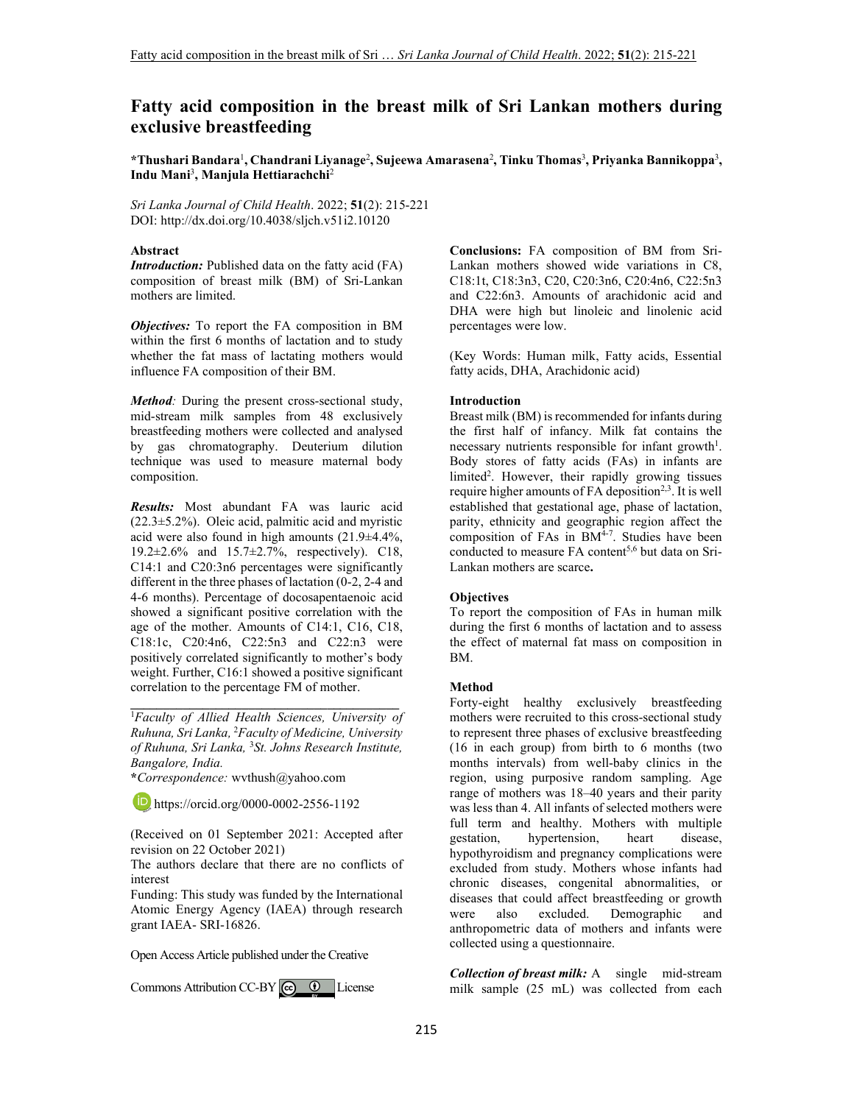# **Fatty acid composition in the breast milk of Sri Lankan mothers during exclusive breastfeeding**

**\*Thushari Bandara**<sup>1</sup> **, Chandrani Liyanage**<sup>2</sup> **, Sujeewa Amarasena**<sup>2</sup> **, Tinku Thomas**<sup>3</sup> **, Priyanka Bannikoppa**<sup>3</sup> **, Indu Mani**<sup>3</sup> **, Manjula Hettiarachchi**<sup>2</sup>

*Sri Lanka Journal of Child Health*. 2022; **51**(2): 215-221 DOI: http://dx.doi.org/10.4038/sljch.v51i2.10120

### **Abstract**

*Introduction:* Published data on the fatty acid (FA) composition of breast milk (BM) of Sri-Lankan mothers are limited.

*Objectives:* To report the FA composition in BM within the first 6 months of lactation and to study whether the fat mass of lactating mothers would influence FA composition of their BM.

*Method:* During the present cross-sectional study, mid-stream milk samples from 48 exclusively breastfeeding mothers were collected and analysed by gas chromatography. Deuterium dilution technique was used to measure maternal body composition.

*Results:* Most abundant FA was lauric acid (22.3±5.2%). Oleic acid, palmitic acid and myristic acid were also found in high amounts (21.9±4.4%, 19.2±2.6% and 15.7±2.7%, respectively). C18, C14:1 and C20:3n6 percentages were significantly different in the three phases of lactation (0-2, 2-4 and 4-6 months). Percentage of docosapentaenoic acid showed a significant positive correlation with the age of the mother. Amounts of C14:1, C16, C18, C18:1c, C20:4n6, C22:5n3 and C22:n3 were positively correlated significantly to mother's body weight. Further, C16:1 showed a positive significant correlation to the percentage FM of mother.

<sup>1</sup>*Faculty of Allied Health Sciences, University of Ruhuna, Sri Lanka,* <sup>2</sup>*Faculty of Medicine, University of Ruhuna, Sri Lanka,* <sup>3</sup>*St. Johns Research Institute, Bangalore, India.*

**\_\_\_\_\_\_\_\_\_\_\_\_\_\_\_\_\_\_\_\_\_\_\_\_\_\_\_\_\_\_\_\_\_\_\_\_\_\_\_\_\_**

**\****Correspondence:* wvthush@yahoo.com

**b** https://orcid.org/0000-0002-2556-1192

(Received on 01 September 2021: Accepted after revision on 22 October 2021)

The authors declare that there are no conflicts of interest

Funding: This study was funded by the International Atomic Energy Agency (IAEA) through research grant IAEA- SRI-16826.

Open Access Article published under the Creative

Commons Attribution CC-BY  $\left[\begin{array}{cc} \text{(c)} & \text{(d)} \end{array}\right]$  License

**Conclusions:** FA composition of BM from Sri-Lankan mothers showed wide variations in C8, C18:1t, C18:3n3, C20, C20:3n6, C20:4n6, C22:5n3 and C22:6n3. Amounts of arachidonic acid and DHA were high but linoleic and linolenic acid percentages were low.

(Key Words: Human milk, Fatty acids, Essential fatty acids, DHA, Arachidonic acid)

### **Introduction**

Breast milk (BM) is recommended for infants during the first half of infancy. Milk fat contains the necessary nutrients responsible for infant growth<sup>1</sup>. Body stores of fatty acids (FAs) in infants are limited<sup>2</sup>. However, their rapidly growing tissues require higher amounts of  $FA$  deposition<sup>2,3</sup>. It is well established that gestational age, phase of lactation, parity, ethnicity and geographic region affect the composition of FAs in  $\overline{BM}^{4-7}$ . Studies have been conducted to measure  $FA$  content<sup>5,6</sup> but data on Sri-Lankan mothers are scarce**.**

### **Objectives**

To report the composition of FAs in human milk during the first 6 months of lactation and to assess the effect of maternal fat mass on composition in BM.

### **Method**

Forty-eight healthy exclusively breastfeeding mothers were recruited to this cross-sectional study to represent three phases of exclusive breastfeeding (16 in each group) from birth to 6 months (two months intervals) from well-baby clinics in the region, using purposive random sampling. Age range of mothers was 18–40 years and their parity was less than 4. All infants of selected mothers were full term and healthy. Mothers with multiple gestation, heart disease, hypertension, heart disease, hypothyroidism and pregnancy complications were excluded from study. Mothers whose infants had chronic diseases, congenital abnormalities, or diseases that could affect breastfeeding or growth<br>were also excluded. Demographic and were also excluded. Demographic and anthropometric data of mothers and infants were collected using a questionnaire.

*Collection of breast milk:* A single mid-stream milk sample (25 mL) was collected from each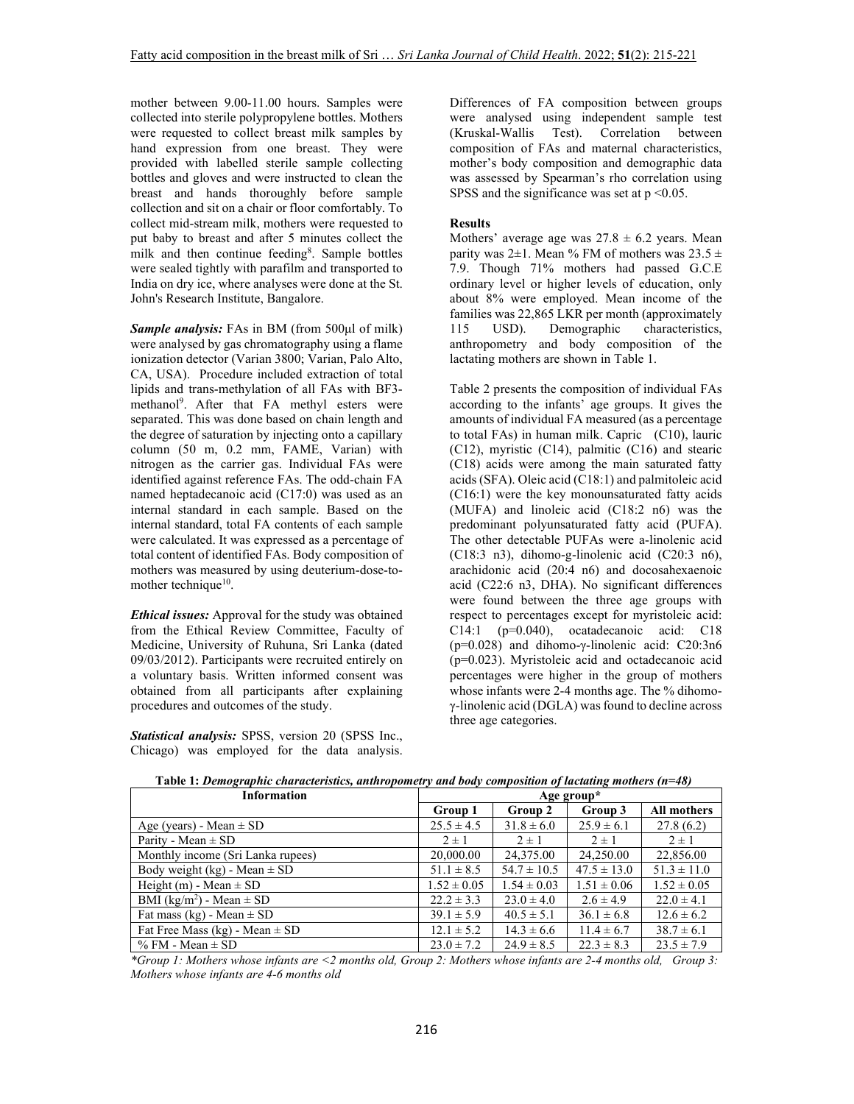mother between 9.00-11.00 hours. Samples were collected into sterile polypropylene bottles. Mothers were requested to collect breast milk samples by hand expression from one breast. They were provided with labelled sterile sample collecting bottles and gloves and were instructed to clean the breast and hands thoroughly before sample collection and sit on a chair or floor comfortably. To collect mid-stream milk, mothers were requested to put baby to breast and after 5 minutes collect the milk and then continue feeding<sup>8</sup>. Sample bottles were sealed tightly with parafilm and transported to India on dry ice, where analyses were done at the St. John's Research Institute, Bangalore.

*Sample analysis:* FAs in BM (from 500μl of milk) were analysed by gas chromatography using a flame ionization detector (Varian 3800; Varian, Palo Alto, CA, USA). Procedure included extraction of total lipids and trans-methylation of all FAs with BF3 methanol<sup>9</sup> . After that FA methyl esters were separated. This was done based on chain length and the degree of saturation by injecting onto a capillary column (50 m, 0.2 mm, FAME, Varian) with nitrogen as the carrier gas. Individual FAs were identified against reference FAs. The odd-chain FA named heptadecanoic acid (C17:0) was used as an internal standard in each sample. Based on the internal standard, total FA contents of each sample were calculated. It was expressed as a percentage of total content of identified FAs. Body composition of mothers was measured by using deuterium-dose-tomother technique<sup>10</sup>.

*Ethical issues:* Approval for the study was obtained from the Ethical Review Committee, Faculty of Medicine, University of Ruhuna, Sri Lanka (dated 09/03/2012). Participants were recruited entirely on a voluntary basis. Written informed consent was obtained from all participants after explaining procedures and outcomes of the study.

*Statistical analysis:* SPSS, version 20 (SPSS Inc., Chicago) was employed for the data analysis.

Differences of FA composition between groups were analysed using independent sample test (Kruskal-Wallis Test). Correlation between composition of FAs and maternal characteristics, mother's body composition and demographic data was assessed by Spearman's rho correlation using SPSS and the significance was set at  $p \le 0.05$ .

## **Results**

Mothers' average age was  $27.8 \pm 6.2$  years. Mean parity was  $2\pm 1$ . Mean % FM of mothers was  $23.5 \pm 1$ 7.9. Though 71% mothers had passed G.C.E ordinary level or higher levels of education, only about 8% were employed. Mean income of the families was  $22,865$  LKR per month (approximately 115 USD). Demographic characteristics, Demographic anthropometry and body composition of the lactating mothers are shown in Table 1.

Table 2 presents the composition of individual FAs according to the infants' age groups. It gives the amounts of individual FA measured (as a percentage to total FAs) in human milk. Capric (C10), lauric (C12), myristic (C14), palmitic (C16) and stearic (C18) acids were among the main saturated fatty acids (SFA). Oleic acid (C18:1) and palmitoleic acid (C16:1) were the key monounsaturated fatty acids (MUFA) and linoleic acid (C18:2 n6) was the predominant polyunsaturated fatty acid (PUFA). The other detectable PUFAs were a-linolenic acid (C18:3 n3), dihomo-g-linolenic acid (C20:3 n6), arachidonic acid (20:4 n6) and docosahexaenoic acid (C22:6 n3, DHA). No significant differences were found between the three age groups with respect to percentages except for myristoleic acid: C14:1 (p=0.040), ocatadecanoic acid: C18 (p=0.028) and dihomo-γ-linolenic acid: C20:3n6 (p=0.023). Myristoleic acid and octadecanoic acid percentages were higher in the group of mothers whose infants were 2-4 months age. The % dihomoγ-linolenic acid (DGLA) was found to decline across three age categories.

| <b>Information</b>                 | Age group*      |                 |                 |                    |
|------------------------------------|-----------------|-----------------|-----------------|--------------------|
|                                    | Group 1         | Group 2         | Group 3         | <b>All mothers</b> |
| Age (years) - Mean $\pm$ SD        | $25.5 \pm 4.5$  | $31.8 \pm 6.0$  | $25.9 \pm 6.1$  | 27.8(6.2)          |
| Parity - Mean $\pm$ SD             | $2 \pm 1$       | $2 \pm 1$       | $2 \pm 1$       | $2 \pm 1$          |
| Monthly income (Sri Lanka rupees)  | 20,000.00       | 24,375.00       | 24,250.00       | 22,856.00          |
| Body weight (kg) - Mean $\pm$ SD   | $51.1 \pm 8.5$  | $54.7 \pm 10.5$ | $47.5 \pm 13.0$ | $51.3 \pm 11.0$    |
| Height (m) - Mean $\pm$ SD         | $1.52 \pm 0.05$ | $1.54 \pm 0.03$ | $1.51 \pm 0.06$ | $1.52 \pm 0.05$    |
| BMI $(kg/m^2)$ - Mean $\pm$ SD     | $22.2 \pm 3.3$  | $23.0 \pm 4.0$  | $2.6 \pm 4.9$   | $22.0 \pm 4.1$     |
| Fat mass (kg) - Mean $\pm$ SD      | $39.1 \pm 5.9$  | $40.5 \pm 5.1$  | $36.1 \pm 6.8$  | $12.6 \pm 6.2$     |
| Fat Free Mass (kg) - Mean $\pm$ SD | $12.1 \pm 5.2$  | $14.3 \pm 6.6$  | $11.4 \pm 6.7$  | $38.7 \pm 6.1$     |
| $% FM - Mean \pm SD$               | $23.0 \pm 7.2$  | $24.9 \pm 8.5$  | $22.3 \pm 8.3$  | $23.5 \pm 7.9$     |

 **Table 1:** *Demographic characteristics, anthropometry and body composition of lactating mothers (n=48)* 

*\*Group 1: Mothers whose infants are <2 months old, Group 2: Mothers whose infants are 2-4 months old, Group 3: Mothers whose infants are 4-6 months old*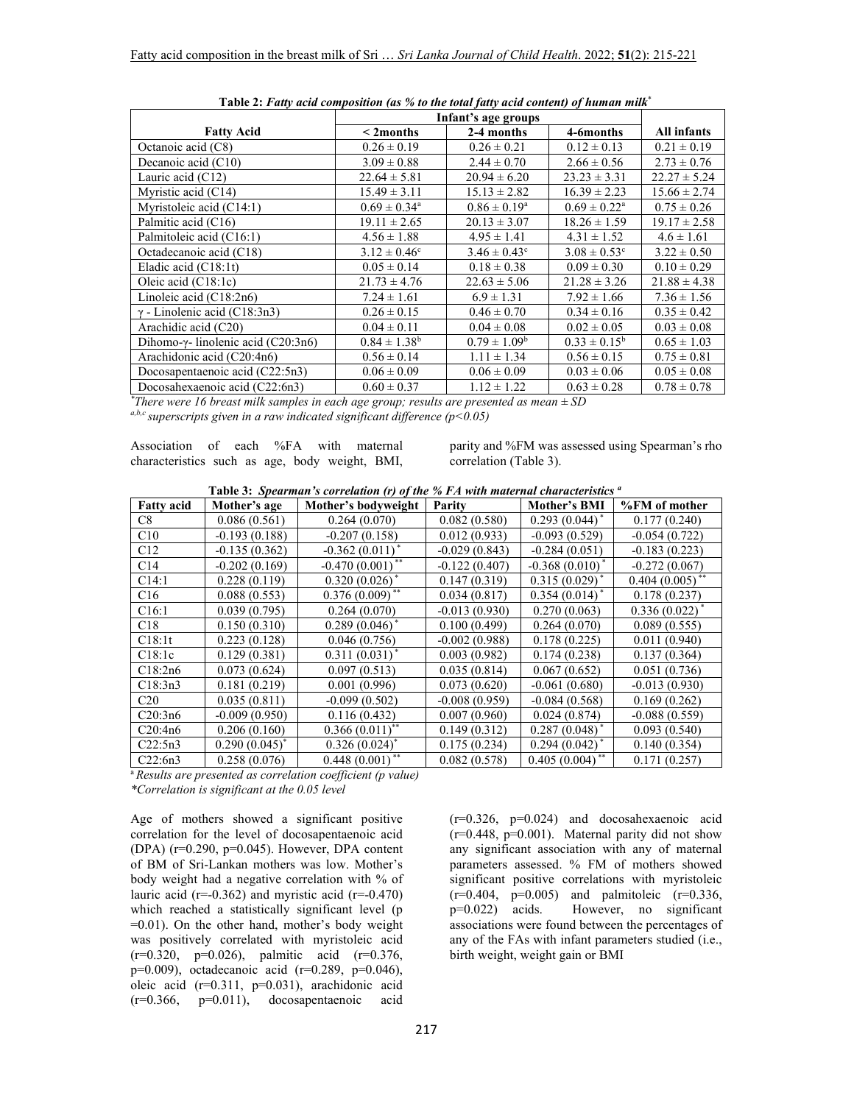| raone 2, rang acar composition (as 70 to the total faily actu content) of numan man | Infant's age groups        |                         |                              |                  |
|-------------------------------------------------------------------------------------|----------------------------|-------------------------|------------------------------|------------------|
| <b>Fatty Acid</b>                                                                   | $<$ 2 months               | 2-4 months              | 4-6months                    | All infants      |
| Octanoic acid (C8)                                                                  | $0.26 \pm 0.19$            | $0.26 \pm 0.21$         | $0.12 \pm 0.13$              | $0.21 \pm 0.19$  |
| Decanoic acid $(C10)$                                                               | $3.09 \pm 0.88$            | $2.44 \pm 0.70$         | $2.66 \pm 0.56$              | $2.73 \pm 0.76$  |
| Lauric acid (C12)                                                                   | $22.64 \pm 5.81$           | $20.94 \pm 6.20$        | $23.23 \pm 3.31$             | $22.27 \pm 5.24$ |
| Myristic acid (C14)                                                                 | $15.49 \pm 3.11$           | $15.13 \pm 2.82$        | $16.39 \pm 2.23$             | $15.66 \pm 2.74$ |
| Myristoleic acid (C14:1)                                                            | $0.69 \pm 0.34^{\text{a}}$ | $0.86 \pm 0.19^{\rm a}$ | $0.69 \pm 0.22^{\text{a}}$   | $0.75 \pm 0.26$  |
| Palmitic acid (C16)                                                                 | $19.11 \pm 2.65$           | $20.13 \pm 3.07$        | $18.26 \pm 1.59$             | $19.17 \pm 2.58$ |
| Palmitoleic acid (C16:1)                                                            | $4.56 \pm 1.88$            | $4.95 \pm 1.41$         | $4.31 \pm 1.52$              | $4.6 \pm 1.61$   |
| Octadecanoic acid (C18)                                                             | $3.12 \pm 0.46^{\circ}$    | $3.46 \pm 0.43^{\circ}$ | $3.08 \pm 0.53$ <sup>c</sup> | $3.22 \pm 0.50$  |
| Eladic acid $(C18:1t)$                                                              | $0.05 \pm 0.14$            | $0.18 \pm 0.38$         | $0.09 \pm 0.30$              | $0.10 \pm 0.29$  |
| Oleic acid $(C18:1c)$                                                               | $21.73 \pm 4.76$           | $22.63 \pm 5.06$        | $21.28 \pm 3.26$             | $21.88 \pm 4.38$ |
| Linoleic acid $(C18:2n6)$                                                           | $7.24 \pm 1.61$            | $6.9 \pm 1.31$          | $7.92 \pm 1.66$              | $7.36 \pm 1.56$  |
| $\gamma$ - Linolenic acid (C18:3n3)                                                 | $0.26 \pm 0.15$            | $0.46 \pm 0.70$         | $0.34 \pm 0.16$              | $0.35 \pm 0.42$  |
| Arachidic acid (C20)                                                                | $0.04 \pm 0.11$            | $0.04 \pm 0.08$         | $0.02 \pm 0.05$              | $0.03 \pm 0.08$  |
| Dihomo- $\gamma$ - linolenic acid (C20:3n6)                                         | $0.84 \pm 1.38^b$          | $0.79 \pm 1.09^{\rm b}$ | $0.33 \pm 0.15^{\rm b}$      | $0.65 \pm 1.03$  |
| Arachidonic acid (C20:4n6)                                                          | $0.56 \pm 0.14$            | $1.11 \pm 1.34$         | $0.56 \pm 0.15$              | $0.75 \pm 0.81$  |
| Docosapentaenoic acid (C22:5n3)                                                     | $0.06 \pm 0.09$            | $0.06 \pm 0.09$         | $0.03 \pm 0.06$              | $0.05 \pm 0.08$  |
| Docosahexaenoic acid (C22:6n3)                                                      | $0.60 \pm 0.37$            | $1.12 \pm 1.22$         | $0.63 \pm 0.28$              | $0.78 \pm 0.78$  |

 **Table 2:** *Fatty acid composition (as % to the total fatty acid content) of human milk*\*

*\*There were 16 breast milk samples in each age group; results are presented as mean ± SD* 

 $a,b,c$  *superscripts given in a raw indicated significant difference (p*<0.05)

Association of each %FA with maternal characteristics such as age, body weight, BMI,

parity and %FM was assessed using Spearman's rho correlation (Table 3).

|  |  | <b>Table 3: Spearman's correlation (r) of the % FA with maternal characteristics "</b> |  |
|--|--|----------------------------------------------------------------------------------------|--|
|--|--|----------------------------------------------------------------------------------------|--|

| <b>Fatty acid</b> | Mother's age       | Mother's bodyweight         | Parity          | Mother's BMI       | %FM of mother      |
|-------------------|--------------------|-----------------------------|-----------------|--------------------|--------------------|
| C8                | 0.086(0.561)       | 0.264(0.070)                | 0.082(0.580)    | $0.293(0.044)^*$   | 0.177(0.240)       |
| C10               | $-0.193(0.188)$    | $-0.207(0.158)$             | 0.012(0.933)    | $-0.093(0.529)$    | $-0.054(0.722)$    |
| C12               | $-0.135(0.362)$    | $-0.362(0.011)^*$           | $-0.029(0.843)$ | $-0.284(0.051)$    | $-0.183(0.223)$    |
| C14               | $-0.202(0.169)$    | $-0.470(0.001)$ **          | $-0.122(0.407)$ | $-0.368(0.010)^*$  | $-0.272(0.067)$    |
| C14:1             | 0.228(0.119)       | $0.320(0.026)$ <sup>*</sup> | 0.147(0.319)    | $0.315(0.029)^*$   | $0.404(0.005)$ **  |
| C16               | 0.088(0.553)       | $0.376(0.009)$ **           | 0.034(0.817)    | $0.354(0.014)^*$   | 0.178(0.237)       |
| C16:1             | 0.039(0.795)       | 0.264(0.070)                | $-0.013(0.930)$ | 0.270(0.063)       | $0.336(0.022)^{*}$ |
| C18               | 0.150(0.310)       | $0.289(0.046)^*$            | 0.100(0.499)    | 0.264(0.070)       | 0.089(0.555)       |
| C18:1t            | 0.223(0.128)       | 0.046(0.756)                | $-0.002(0.988)$ | 0.178(0.225)       | 0.011(0.940)       |
| C18:1c            | 0.129(0.381)       | $0.311(0.031)^*$            | 0.003(0.982)    | 0.174(0.238)       | 0.137(0.364)       |
| C18:2n6           | 0.073(0.624)       | 0.097(0.513)                | 0.035(0.814)    | 0.067(0.652)       | 0.051(0.736)       |
| C18:3n3           | 0.181(0.219)       | 0.001(0.996)                | 0.073(0.620)    | $-0.061(0.680)$    | $-0.013(0.930)$    |
| C <sub>20</sub>   | 0.035(0.811)       | $-0.099(0.502)$             | $-0.008(0.959)$ | $-0.084(0.568)$    | 0.169(0.262)       |
| C20:3n6           | $-0.009(0.950)$    | 0.116(0.432)                | 0.007(0.960)    | 0.024(0.874)       | $-0.088(0.559)$    |
| C20:4n6           | 0.206(0.160)       | $0.366(0.011)$ **           | 0.149(0.312)    | $0.287(0.048)^*$   | 0.093(0.540)       |
| C22:5n3           | $0.290(0.045)^{*}$ | $0.326(0.024)^{*}$          | 0.175(0.234)    | $0.294(0.042)^{*}$ | 0.140(0.354)       |
| C22:6n3           | 0.258(0.076)       | $0.448(0.001)$ **           | 0.082(0.578)    | $0.405(0.004)$ **  | 0.171(0.257)       |

<sup>a</sup>*Results are presented as correlation coefficient (p value) \*Correlation is significant at the 0.05 level* 

Age of mothers showed a significant positive correlation for the level of docosapentaenoic acid (DPA) (r=0.290, p=0.045). However, DPA content of BM of Sri-Lankan mothers was low. Mother's body weight had a negative correlation with % of lauric acid ( $r=-0.362$ ) and myristic acid ( $r=-0.470$ ) which reached a statistically significant level (p =0.01). On the other hand, mother's body weight was positively correlated with myristoleic acid  $(r=0.320, p=0.026)$ , palmitic acid  $(r=0.376,$ p=0.009), octadecanoic acid (r=0.289, p=0.046), oleic acid (r=0.311, p=0.031), arachidonic acid  $(r=0.366, p=0.011),$  docosapentaenoic acid

(r=0.326, p=0.024) and docosahexaenoic acid  $(r=0.448, p=0.001)$ . Maternal parity did not show any significant association with any of maternal parameters assessed. % FM of mothers showed significant positive correlations with myristoleic  $(r=0.404, p=0.005)$  and palmitoleic  $(r=0.336,$ p=0.022) acids. However, no significant associations were found between the percentages of any of the FAs with infant parameters studied (i.e., birth weight, weight gain or BMI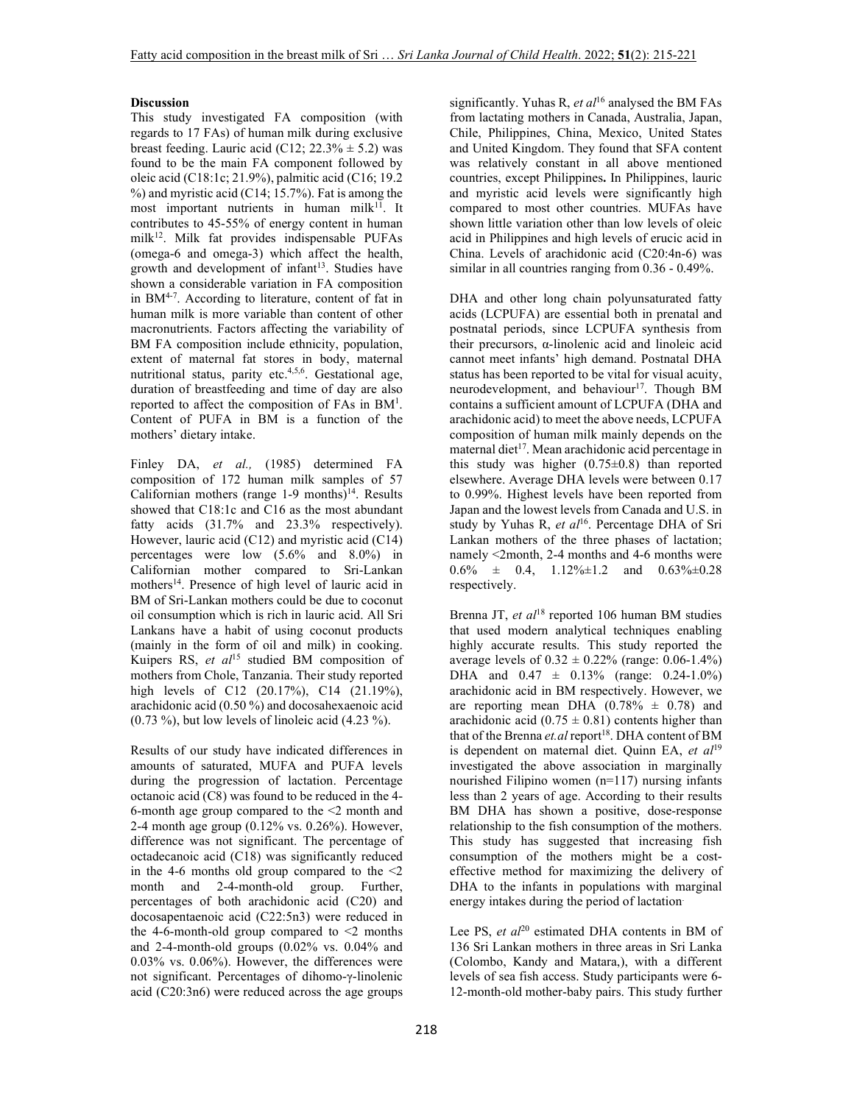## **Discussion**

This study investigated FA composition (with regards to 17 FAs) of human milk during exclusive breast feeding. Lauric acid (C12;  $22.3\% \pm 5.2$ ) was found to be the main FA component followed by oleic acid (C18:1c; 21.9%), palmitic acid (C16; 19.2  $%$ ) and myristic acid (C14; 15.7%). Fat is among the most important nutrients in human milk<sup>11</sup>. It contributes to 45-55% of energy content in human milk<sup>12</sup>. Milk fat provides indispensable PUFAs (omega-6 and omega-3) which affect the health, growth and development of infant<sup>13</sup>. Studies have shown a considerable variation in FA composition in BM4-7. According to literature, content of fat in human milk is more variable than content of other macronutrients. Factors affecting the variability of BM FA composition include ethnicity, population, extent of maternal fat stores in body, maternal nutritional status, parity etc.4,5,6. Gestational age, duration of breastfeeding and time of day are also reported to affect the composition of FAs in BM<sup>1</sup>. Content of PUFA in BM is a function of the mothers' dietary intake.

Finley DA, *et al.,* (1985) determined FA composition of 172 human milk samples of 57 Californian mothers (range  $1-9$  months)<sup>14</sup>. Results showed that C18:1c and C16 as the most abundant fatty acids  $(31.7\%$  and  $23.3\%$  respectively). However, lauric acid (C12) and myristic acid (C14) percentages were low (5.6% and 8.0%) in Californian mother compared to Sri-Lankan mothers<sup>14</sup>. Presence of high level of lauric acid in BM of Sri-Lankan mothers could be due to coconut oil consumption which is rich in lauric acid. All Sri Lankans have a habit of using coconut products (mainly in the form of oil and milk) in cooking. Kuipers RS, *et al*<sup>15</sup> studied BM composition of mothers from Chole, Tanzania. Their study reported high levels of C12 (20.17%), C14 (21.19%), arachidonic acid (0.50 %) and docosahexaenoic acid (0.73 %), but low levels of linoleic acid (4.23 %).

Results of our study have indicated differences in amounts of saturated, MUFA and PUFA levels during the progression of lactation. Percentage octanoic acid (C8) was found to be reduced in the 4- 6-month age group compared to the <2 month and 2-4 month age group (0.12% vs. 0.26%). However, difference was not significant. The percentage of octadecanoic acid (C18) was significantly reduced in the 4-6 months old group compared to the  $\leq 2$ month and 2-4-month-old group. Further, percentages of both arachidonic acid (C20) and docosapentaenoic acid (C22:5n3) were reduced in the 4-6-month-old group compared to  $\leq$  months and 2-4-month-old groups (0.02% vs. 0.04% and 0.03% vs. 0.06%). However, the differences were not significant. Percentages of dihomo-γ-linolenic acid (C20:3n6) were reduced across the age groups

significantly. Yuhas R, *et al*<sup>16</sup> analysed the BM FAs from lactating mothers in Canada, Australia, Japan, Chile, Philippines, China, Mexico, United States and United Kingdom. They found that SFA content was relatively constant in all above mentioned countries, except Philippines**.** In Philippines, lauric and myristic acid levels were significantly high compared to most other countries. MUFAs have shown little variation other than low levels of oleic acid in Philippines and high levels of erucic acid in China. Levels of arachidonic acid (C20:4n-6) was similar in all countries ranging from 0.36 - 0.49%.

DHA and other long chain polyunsaturated fatty acids (LCPUFA) are essential both in prenatal and postnatal periods, since LCPUFA synthesis from their precursors, α-linolenic acid and linoleic acid cannot meet infants' high demand. Postnatal DHA status has been reported to be vital for visual acuity, neurodevelopment, and behaviour<sup>17</sup>. Though BM contains a sufficient amount of LCPUFA (DHA and arachidonic acid) to meet the above needs, LCPUFA composition of human milk mainly depends on the maternal diet<sup>17</sup>. Mean arachidonic acid percentage in this study was higher  $(0.75\pm0.8)$  than reported elsewhere. Average DHA levels were between 0.17 to 0.99%. Highest levels have been reported from Japan and the lowest levels from Canada and U.S. in study by Yuhas R, *et al*<sup>16</sup>. Percentage DHA of Sri Lankan mothers of the three phases of lactation; namely <2month, 2-4 months and 4-6 months were  $0.6\% \pm 0.4$ ,  $1.12\% \pm 1.2$  and  $0.63\% \pm 0.28$ respectively.

Brenna JT, *et al*<sup>18</sup> reported 106 human BM studies that used modern analytical techniques enabling highly accurate results. This study reported the average levels of  $0.32 \pm 0.22\%$  (range: 0.06-1.4%) DHA and 0.47 ± 0.13% (range: 0.24-1.0%) arachidonic acid in BM respectively. However, we are reporting mean DHA  $(0.78\% \pm 0.78)$  and arachidonic acid ( $0.75 \pm 0.81$ ) contents higher than that of the Brenna et.al report<sup>18</sup>. DHA content of BM is dependent on maternal diet. Quinn EA, *et al*<sup>19</sup> investigated the above association in marginally nourished Filipino women (n=117) nursing infants less than 2 years of age. According to their results BM DHA has shown a positive, dose-response relationship to the fish consumption of the mothers. This study has suggested that increasing fish consumption of the mothers might be a costeffective method for maximizing the delivery of DHA to the infants in populations with marginal energy intakes during the period of lactation.

Lee PS, *et al*<sup>20</sup> estimated DHA contents in BM of 136 Sri Lankan mothers in three areas in Sri Lanka (Colombo, Kandy and Matara,), with a different levels of sea fish access. Study participants were 6- 12-month-old mother-baby pairs. This study further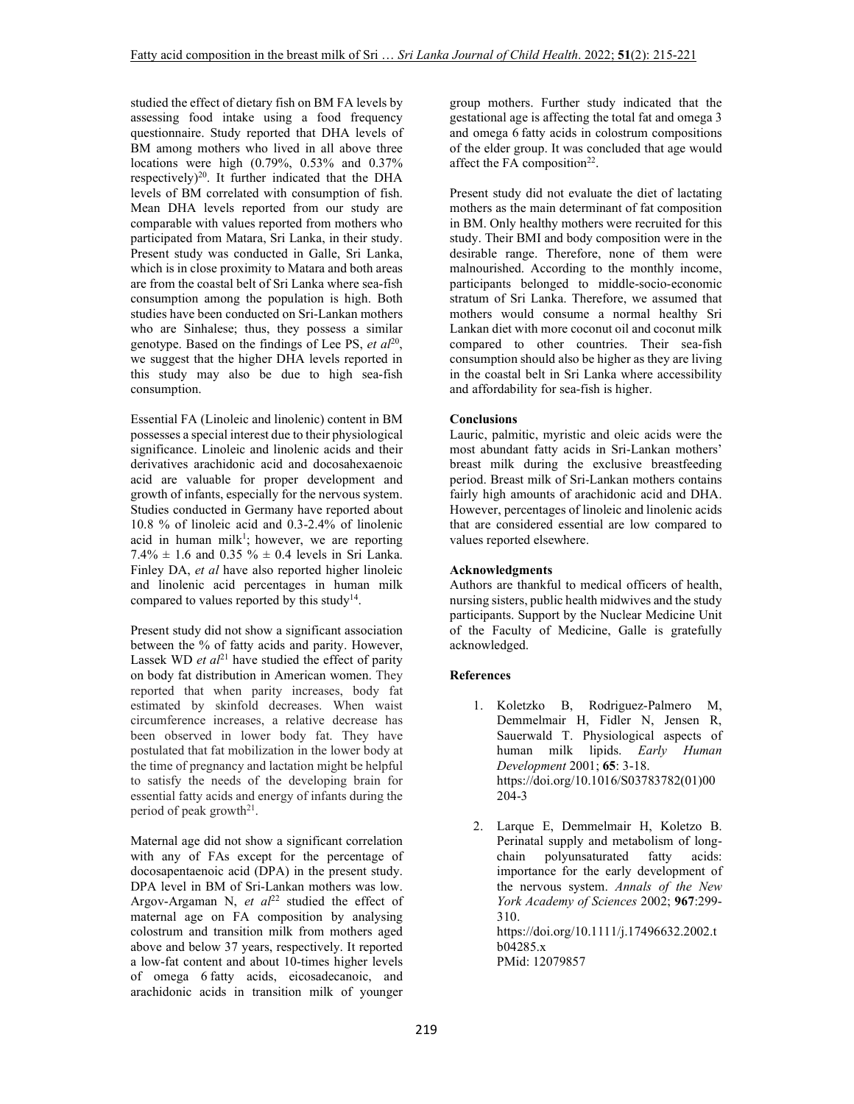studied the effect of dietary fish on BM FA levels by assessing food intake using a food frequency questionnaire. Study reported that DHA levels of BM among mothers who lived in all above three locations were high (0.79%, 0.53% and 0.37% respectively)<sup>20</sup>. It further indicated that the DHA levels of BM correlated with consumption of fish. Mean DHA levels reported from our study are comparable with values reported from mothers who participated from Matara, Sri Lanka, in their study. Present study was conducted in Galle, Sri Lanka, which is in close proximity to Matara and both areas are from the coastal belt of Sri Lanka where sea-fish consumption among the population is high. Both studies have been conducted on Sri-Lankan mothers who are Sinhalese; thus, they possess a similar genotype. Based on the findings of Lee PS, et al<sup>20</sup>, we suggest that the higher DHA levels reported in this study may also be due to high sea-fish consumption.

Essential FA (Linoleic and linolenic) content in BM possesses a special interest due to their physiological significance. Linoleic and linolenic acids and their derivatives arachidonic acid and docosahexaenoic acid are valuable for proper development and growth of infants, especially for the nervous system. Studies conducted in Germany have reported about 10.8 % of linoleic acid and 0.3-2.4% of linolenic acid in human milk<sup>1</sup>; however, we are reporting 7.4%  $\pm$  1.6 and 0.35 %  $\pm$  0.4 levels in Sri Lanka. Finley DA, *et al* have also reported higher linoleic and linolenic acid percentages in human milk compared to values reported by this study<sup>14</sup>.

Present study did not show a significant association between the % of fatty acids and parity. However, Lassek WD *et al*<sup>21</sup> have studied the effect of parity on body fat distribution in American women. They reported that when parity increases, body fat estimated by skinfold decreases. When waist circumference increases, a relative decrease has been observed in lower body fat. They have postulated that fat mobilization in the lower body at the time of pregnancy and lactation might be helpful to satisfy the needs of the developing brain for essential fatty acids and energy of infants during the period of peak growth<sup>21</sup>.

Maternal age did not show a significant correlation with any of FAs except for the percentage of docosapentaenoic acid (DPA) in the present study. DPA level in BM of Sri-Lankan mothers was low. Argov-Argaman N,  $et \text{ } a\ell^{22}$  studied the effect of maternal age on FA composition by analysing colostrum and transition milk from mothers aged above and below 37 years, respectively. It reported a low-fat content and about 10-times higher levels of omega 6 fatty acids, eicosadecanoic, and arachidonic acids in transition milk of younger

group mothers. Further study indicated that the gestational age is affecting the total fat and omega 3 and omega 6 fatty acids in colostrum compositions of the elder group. It was concluded that age would affect the FA composition<sup>22</sup>.

Present study did not evaluate the diet of lactating mothers as the main determinant of fat composition in BM. Only healthy mothers were recruited for this study. Their BMI and body composition were in the desirable range. Therefore, none of them were malnourished. According to the monthly income, participants belonged to middle-socio-economic stratum of Sri Lanka. Therefore, we assumed that mothers would consume a normal healthy Sri Lankan diet with more coconut oil and coconut milk compared to other countries. Their sea-fish consumption should also be higher as they are living in the coastal belt in Sri Lanka where accessibility and affordability for sea-fish is higher.

### **Conclusions**

Lauric, palmitic, myristic and oleic acids were the most abundant fatty acids in Sri-Lankan mothers' breast milk during the exclusive breastfeeding period. Breast milk of Sri-Lankan mothers contains fairly high amounts of arachidonic acid and DHA. However, percentages of linoleic and linolenic acids that are considered essential are low compared to values reported elsewhere.

#### **Acknowledgments**

Authors are thankful to medical officers of health, nursing sisters, public health midwives and the study participants. Support by the Nuclear Medicine Unit of the Faculty of Medicine, Galle is gratefully acknowledged.

### **References**

- 1. Koletzko B, Rodriguez-Palmero M, Demmelmair H, Fidler N, Jensen R, Sauerwald T. Physiological aspects of human milk lipids. *Early Human Development* 2001; **65**: 3-18. https://doi.org/10.1016/S03783782(01)00 204-3
- 2. Larque E, Demmelmair H, Koletzo B. Perinatal supply and metabolism of longchain polyunsaturated fatty acids: importance for the early development of the nervous system. *Annals of the New York Academy of Sciences* 2002; **967**:299- 310. https://doi.org/10.1111/j.17496632.2002.t b04285.x PMid: 12079857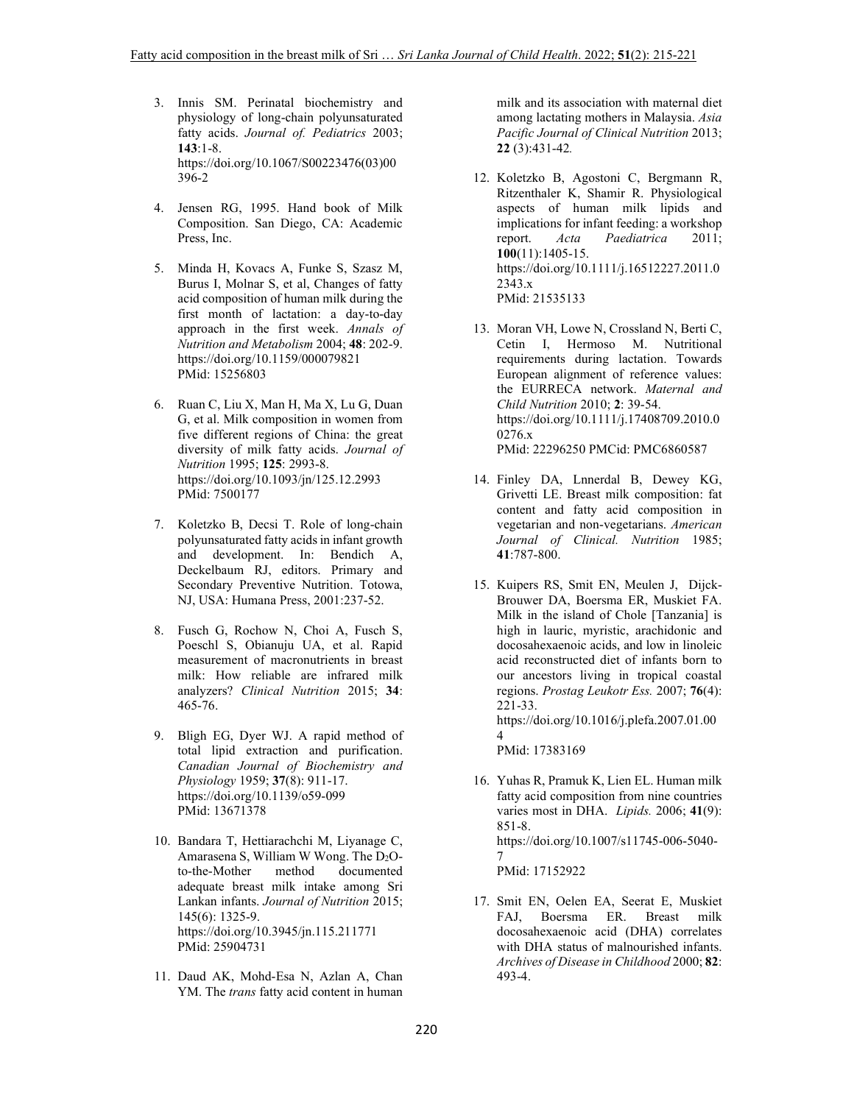- 3. Innis SM. Perinatal biochemistry and physiology of long-chain polyunsaturated fatty acids. *Journal of. Pediatrics* 2003; **143**:1-8. https://doi.org/10.1067/S00223476(03)00 396-2
- 4. Jensen RG, 1995. Hand book of Milk Composition. San Diego, CA: Academic Press, Inc.
- 5. Minda H, Kovacs A, Funke S, Szasz M, Burus I, Molnar S, et al, Changes of fatty acid composition of human milk during the first month of lactation: a day-to-day approach in the first week. *Annals of Nutrition and Metabolism* 2004; **48**: 202-9. https://doi.org/10.1159/000079821 PMid: 15256803
- 6. Ruan C, Liu X, Man H, Ma X, Lu G, Duan G, et al. Milk composition in women from five different regions of China: the great diversity of milk fatty acids. *Journal of Nutrition* 1995; **125**: 2993-8. https://doi.org/10.1093/jn/125.12.2993 PMid: 7500177
- 7. Koletzko B, Decsi T. Role of long-chain polyunsaturated fatty acids in infant growth and development. In: Bendich A, Deckelbaum RJ, editors. Primary and Secondary Preventive Nutrition. Totowa, NJ, USA: Humana Press, 2001:237-52.
- 8. Fusch G, Rochow N, Choi A, Fusch S, Poeschl S, Obianuju UA, et al. Rapid measurement of macronutrients in breast milk: How reliable are infrared milk analyzers? *Clinical Nutrition* 2015; **34**: 465-76.
- 9. Bligh EG, Dyer WJ. A rapid method of total lipid extraction and purification. *Canadian Journal of Biochemistry and Physiology* 1959; **37**(8): 911-17. https://doi.org/10.1139/o59-099 PMid: 13671378
- 10. Bandara T, Hettiarachchi M, Liyanage C, Amarasena S, William W Wong. The  $D_2O$ to-the-Mother method documented adequate breast milk intake among Sri Lankan infants. *Journal of Nutrition* 2015; 145(6): 1325-9. https://doi.org/10.3945/jn.115.211771 PMid: 25904731
- 11. Daud AK, Mohd-Esa N, Azlan A, Chan YM. The *trans* fatty acid content in human

milk and its association with maternal diet among lactating mothers in Malaysia. *Asia Pacific Journal of Clinical Nutrition* 2013; **22** (3):431-42*.*

- 12. Koletzko B, Agostoni C, Bergmann R, Ritzenthaler K, Shamir R. Physiological aspects of human milk lipids and implications for infant feeding: a workshop report. *Acta Paediatrica* 2011; **100**(11):1405-15. https://doi.org/10.1111/j.16512227.2011.0 2343.x PMid: 21535133
- 13. Moran VH, Lowe N, Crossland N, Berti C, Cetin I, Hermoso M. Nutritional requirements during lactation. Towards European alignment of reference values: the EURRECA network. *Maternal and Child Nutrition* 2010; **2**: 39-54. https://doi.org/10.1111/j.17408709.2010.0 0276.x PMid: 22296250 PMCid: PMC6860587
- 14. Finley DA, Lnnerdal B, Dewey KG, Grivetti LE. Breast milk composition: fat content and fatty acid composition in vegetarian and non-vegetarians. *American Journal of Clinical. Nutrition* 1985; **41**:787-800.
- 15. Kuipers RS, Smit EN, Meulen J, Dijck-Brouwer DA, Boersma ER, Muskiet FA. Milk in the island of Chole [Tanzania] is high in lauric, myristic, arachidonic and docosahexaenoic acids, and low in linoleic acid reconstructed diet of infants born to our ancestors living in tropical coastal regions. *Prostag Leukotr Ess.* 2007; **76**(4): 221-33. https://doi.org/10.1016/j.plefa.2007.01.00 4

PMid: 17383169

- 16. Yuhas R, Pramuk K, Lien EL. Human milk fatty acid composition from nine countries varies most in DHA. *Lipids.* 2006; **41**(9): 851-8. https://doi.org/10.1007/s11745-006-5040- 7 PMid: 17152922
- 17. Smit EN, Oelen EA, Seerat E, Muskiet FAJ, Boersma ER. Breast milk docosahexaenoic acid (DHA) correlates with DHA status of malnourished infants. *Archives of Disease in Childhood* 2000; **82**: 493-4.